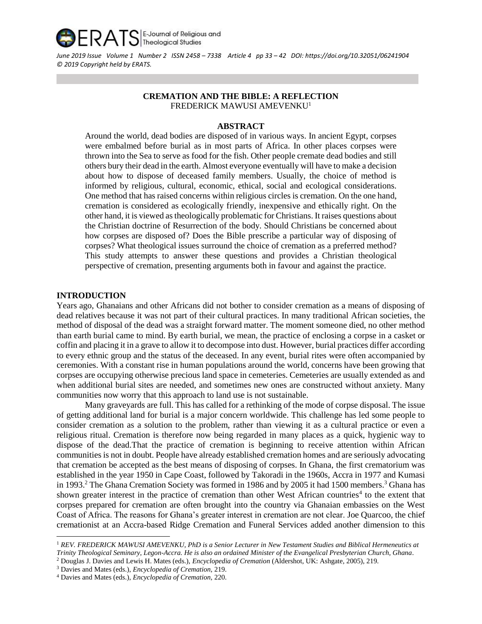

*June 2019 Issue Volume 1 Number 2 ISSN 2458 – 7338 Article 4 pp 33 – 42 DOI: <https://doi.org/10.32051/06241904> © 2019 Copyright held by ERATS.*

# **CREMATION AND THE BIBLE: A REFLECTION** FREDERICK MAWUSI AMEVENKU<sup>1</sup>

# **ABSTRACT**

Around the world, dead bodies are disposed of in various ways. In ancient Egypt, corpses were embalmed before burial as in most parts of Africa. In other places corpses were thrown into the Sea to serve as food for the fish. Other people cremate dead bodies and still others bury their dead in the earth. Almost everyone eventually will have to make a decision about how to dispose of deceased family members. Usually, the choice of method is informed by religious, cultural, economic, ethical, social and ecological considerations. One method that has raised concerns within religious circles is cremation. On the one hand, cremation is considered as ecologically friendly, inexpensive and ethically right. On the other hand, it is viewed as theologically problematic for Christians. It raises questions about the Christian doctrine of Resurrection of the body. Should Christians be concerned about how corpses are disposed of? Does the Bible prescribe a particular way of disposing of corpses? What theological issues surround the choice of cremation as a preferred method? This study attempts to answer these questions and provides a Christian theological perspective of cremation, presenting arguments both in favour and against the practice.

#### **INTRODUCTION**

l

Years ago, Ghanaians and other Africans did not bother to consider cremation as a means of disposing of dead relatives because it was not part of their cultural practices. In many traditional African societies, the method of disposal of the dead was a straight forward matter. The moment someone died, no other method than earth burial came to mind. By earth burial, we mean, the practice of enclosing a corpse in a casket or coffin and placing it in a grave to allow it to decompose into dust. However, burial practices differ according to every ethnic group and the status of the deceased. In any event, burial rites were often accompanied by ceremonies. With a constant rise in human populations around the world, concerns have been growing that corpses are occupying otherwise precious land space in cemeteries. Cemeteries are usually extended as and when additional burial sites are needed, and sometimes new ones are constructed without anxiety. Many communities now worry that this approach to land use is not sustainable.

Many graveyards are full. This has called for a rethinking of the mode of corpse disposal. The issue of getting additional land for burial is a major concern worldwide. This challenge has led some people to consider cremation as a solution to the problem, rather than viewing it as a cultural practice or even a religious ritual. Cremation is therefore now being regarded in many places as a quick, hygienic way to dispose of the dead.That the practice of cremation is beginning to receive attention within African communities is not in doubt. People have already established cremation homes and are seriously advocating that cremation be accepted as the best means of disposing of corpses. In Ghana, the first crematorium was established in the year 1950 in Cape Coast, followed by Takoradi in the 1960s, Accra in 1977 and Kumasi in 1993.<sup>2</sup> The Ghana Cremation Society was formed in 1986 and by 2005 it had 1500 members.<sup>3</sup> Ghana has shown greater interest in the practice of cremation than other West African countries<sup>4</sup> to the extent that corpses prepared for cremation are often brought into the country via Ghanaian embassies on the West Coast of Africa. The reasons for Ghana's greater interest in cremation are not clear. Joe Quarcoo, the chief cremationist at an Accra-based Ridge Cremation and Funeral Services added another dimension to this

<sup>1</sup> *REV. FREDERICK MAWUSI AMEVENKU, PhD is a Senior Lecturer in New Testament Studies and Biblical Hermeneutics at Trinity Theological Seminary, Legon-Accra. He is also an ordained Minister of the Evangelical Presbyterian Church, Ghana*.

<sup>2</sup> Douglas J. Davies and Lewis H. Mates (eds.), *Encyclopedia of Cremation* (Aldershot, UK: Ashgate, 2005), 219.

<sup>3</sup> Davies and Mates (eds.), *Encyclopedia of Cremation,* 219.

<sup>4</sup> Davies and Mates (eds.), *Encyclopedia of Cremation,* 220.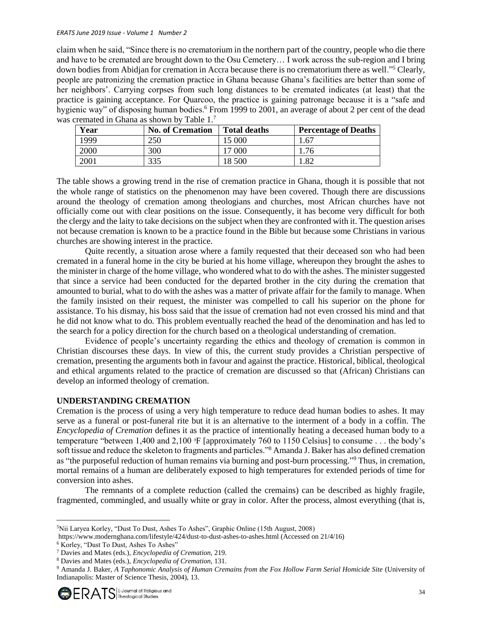#### *ERATS June 2019 Issue - Volume 1 Number 2*

claim when he said, "Since there is no crematorium in the northern part of the country, people who die there and have to be cremated are brought down to the Osu Cemetery… I work across the sub-region and I bring down bodies from Abidjan for cremation in Accra because there is no crematorium there as well."<sup>5</sup> Clearly, people are patronizing the cremation practice in Ghana because Ghana's facilities are better than some of her neighbors'. Carrying corpses from such long distances to be cremated indicates (at least) that the practice is gaining acceptance. For Quarcoo, the practice is gaining patronage because it is a "safe and hygienic way" of disposing human bodies.<sup>6</sup> From 1999 to 2001, an average of about 2 per cent of the dead was cremated in Ghana as shown by Table 1.<sup>7</sup>

| Year | <b>No. of Cremation</b> | <b>Total deaths</b> | <b>Percentage of Deaths</b> |
|------|-------------------------|---------------------|-----------------------------|
| 1999 | 250                     | 15 000              | 1.67                        |
| 2000 | 300                     | 17 000              | 1.76                        |
| 2001 | 335                     | 18 500              | 1.82                        |

The table shows a growing trend in the rise of cremation practice in Ghana, though it is possible that not the whole range of statistics on the phenomenon may have been covered. Though there are discussions around the theology of cremation among theologians and churches, most African churches have not officially come out with clear positions on the issue. Consequently, it has become very difficult for both the clergy and the laity to take decisions on the subject when they are confronted with it. The question arises not because cremation is known to be a practice found in the Bible but because some Christians in various churches are showing interest in the practice.

Quite recently, a situation arose where a family requested that their deceased son who had been cremated in a funeral home in the city be buried at his home village, whereupon they brought the ashes to the minister in charge of the home village, who wondered what to do with the ashes. The minister suggested that since a service had been conducted for the departed brother in the city during the cremation that amounted to burial, what to do with the ashes was a matter of private affair for the family to manage. When the family insisted on their request, the minister was compelled to call his superior on the phone for assistance. To his dismay, his boss said that the issue of cremation had not even crossed his mind and that he did not know what to do. This problem eventually reached the head of the denomination and has led to the search for a policy direction for the church based on a theological understanding of cremation.

Evidence of people's uncertainty regarding the ethics and theology of cremation is common in Christian discourses these days. In view of this, the current study provides a Christian perspective of cremation, presenting the arguments both in favour and against the practice. Historical, biblical, theological and ethical arguments related to the practice of cremation are discussed so that (African) Christians can develop an informed theology of cremation.

### **UNDERSTANDING CREMATION**

Cremation is the process of using a very high temperature to reduce dead human bodies to ashes. It may serve as a funeral or post-funeral rite but it is an alternative to the interment of a body in a coffin. The *Encyclopedia of Cremation* defines it as the practice of intentionally heating a deceased human body to a temperature "between 1,400 and 2,100  $\textdegree$ F [approximately 760 to 1150 Celsius] to consume ... the body's soft tissue and reduce the skeleton to fragments and particles."<sup>8</sup> Amanda J. Baker has also defined cremation as "the purposeful reduction of human remains via burning and post-burn processing."<sup>9</sup> Thus, in cremation, mortal remains of a human are deliberately exposed to high temperatures for extended periods of time for conversion into ashes.

The remnants of a complete reduction (called the cremains) can be described as highly fragile, fragmented, commingled, and usually white or gray in color. After the process, almost everything (that is,

 $\overline{a}$ <sup>5</sup>Nii Laryea Korley, "Dust To Dust, Ashes To Ashes", Graphic Online (15th August, 2008)

<https://www.modernghana.com/lifestyle/424/dust-to-dust-ashes-to-ashes.html> (Accessed on 21/4/16)

<sup>6</sup> Korley, "Dust To Dust, Ashes To Ashes"

<sup>7</sup> Davies and Mates (eds.), *Encyclopedia of Cremation,* 219.

<sup>8</sup> Davies and Mates (eds.), *Encyclopedia of Cremation,* 131.

<sup>9</sup> Amanda J. Baker, *A Taphonomic Analysis of Human Cremains from the Fox Hollow Farm Serial Homicide Site* (University of Indianapolis: Master of Science Thesis, 2004), 13.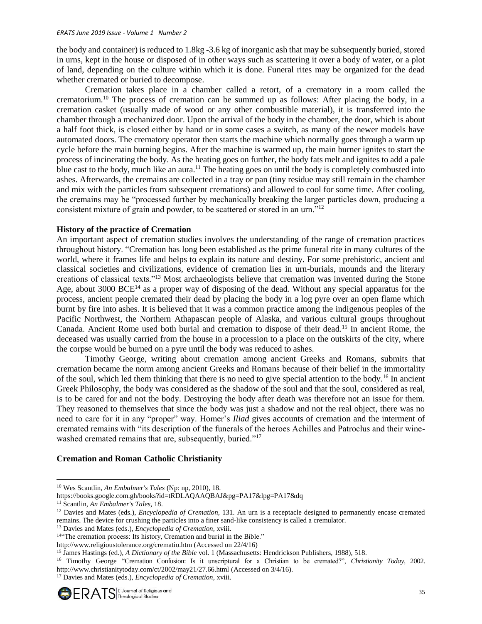the body and container) is reduced to 1.8kg -3.6 kg of inorganic ash that may be subsequently buried, stored in urns, kept in the house or disposed of in other ways such as scattering it over a body of water, or a plot of land, depending on the culture within which it is done. Funeral rites may be organized for the dead whether cremated or buried to decompose.

Cremation takes place in a chamber called a retort, of a crematory in a room called the crematorium.<sup>10</sup> The process of cremation can be summed up as follows: After placing the body, in a cremation casket (usually made of wood or any other combustible material), it is transferred into the chamber through a mechanized door. Upon the arrival of the body in the chamber, the door, which is about a half foot thick, is closed either by hand or in some cases a switch, as many of the newer models have automated doors. The crematory operator then starts the machine which normally goes through a warm up cycle before the main burning begins. After the machine is warmed up, the main burner ignites to start the process of incinerating the body. As the heating goes on further, the body fats melt and ignites to add a pale blue cast to the body, much like an aura.<sup>11</sup> The heating goes on until the body is completely combusted into ashes. Afterwards, the cremains are collected in a tray or pan (tiny residue may still remain in the chamber and mix with the particles from subsequent cremations) and allowed to cool for some time. After cooling, the cremains may be "processed further by mechanically breaking the larger particles down, producing a consistent mixture of grain and powder, to be scattered or stored in an urn."<sup>12</sup>

## **History of the practice of Cremation**

An important aspect of cremation studies involves the understanding of the range of cremation practices throughout history. "Cremation has long been established as the prime funeral rite in many cultures of the world, where it frames life and helps to explain its nature and destiny. For some prehistoric, ancient and classical societies and civilizations, evidence of cremation lies in urn-burials, mounds and the literary creations of classical texts."<sup>13</sup> Most archaeologists believe that cremation was invented during the Stone Age, about 3000 BCE<sup>14</sup> as a proper way of disposing of the dead. Without any special apparatus for the process, ancient people cremated their dead by placing the body in a log pyre over an open flame which burnt by [fire](http://www.newworldencyclopedia.org/entry/Fire) into ashes. It is believed that it was a common practice among the [indigenous peoples](http://www.newworldencyclopedia.org/entry/Native_Americans_in_the_United_States) of the Pacific Northwest, the Northern Athapascan people of [Alaska,](http://www.newworldencyclopedia.org/entry/Alaska) and various cultural groups throughout [Canada.](http://www.newworldencyclopedia.org/entry/Canada) Ancient Rome used both burial and cremation to dispose of their dead.<sup>15</sup> In ancient Rome, the deceased was usually carried from the house in a procession to a place on the outskirts of the city, where the corpse would be burned on a pyre until the body was reduced to ashes.

Timothy George, writing about cremation among ancient Greeks and Romans, submits that cremation became the norm among ancient Greeks and Romans because of their belief in the immortality of the soul, which led them thinking that there is no need to give special attention to the body.<sup>16</sup> In ancient Greek Philosophy, the body was considered as the shadow of the soul and that the soul, considered as real, is to be cared for and not the body. Destroying the body after death was therefore not an issue for them. They reasoned to themselves that since the body was just a shadow and not the real object, there was no need to care for it in any "proper" way. Homer's *Iliad* gives accounts of cremation and the interment of cremated remains with "its description of the funerals of the heroes Achilles and Patroclus and their winewashed cremated remains that are, subsequently, buried."<sup>17</sup>

### **Cremation and Roman Catholic Christianity**

 $\overline{a}$ 

<sup>10</sup> Wes Scantlin, *An Embalmer's Tales* (Np: np, 2010), 18.

https://books.google.com.gh/books?id=tRDLAQAAQBAJ&pg=PA17&lpg=PA17&dq

<sup>11</sup> Scantlin, *An Embalmer's Tales,* 18.

<sup>&</sup>lt;sup>12</sup> Davies and Mates (eds.), *Encyclopedia of Cremation*, 131. An urn is a receptacle designed to permanently encase cremated remains. The device for crushing the particles into a finer sand-like consistency is called a cremulator.

<sup>13</sup> Davies and Mates (eds.), *Encyclopedia of Cremation,* xviii.

<sup>&</sup>lt;sup>14"</sup>The cremation process: Its history, Cremation and burial in the Bible."

<http://www.religioustolerance.org/crematio.htm> (Accessed on 22/4/16)

<sup>15</sup> James Hastings (ed.), *A Dictionary of the Bible* vol. 1 (Massachusetts: Hendrickson Publishers, 1988), 518.

<sup>16</sup> Timothy George "Cremation Confusion: Is it unscriptural for a Christian to be cremated?", *Christianity Today,* 2002. <http://www.christianitytoday.com/ct/2002/may21/27.66.html> (Accessed on 3/4/16).

<sup>17</sup> Davies and Mates (eds.), *Encyclopedia of Cremation,* xviii.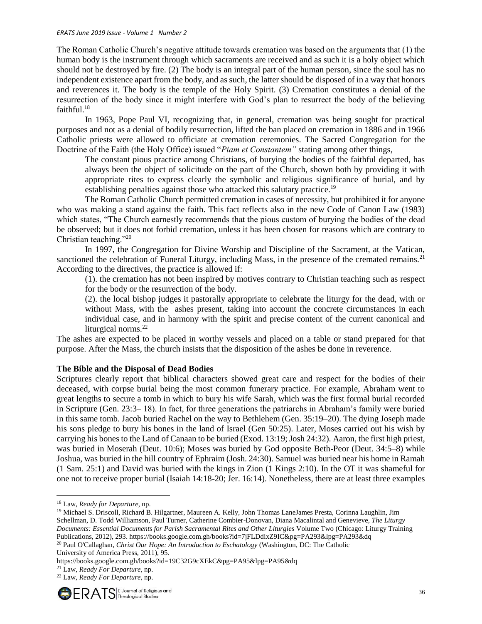The Roman Catholic Church's negative attitude towards cremation was based on the arguments that (1) the human body is the instrument through which sacraments are received and as such it is a holy object which should not be destroyed by fire. (2) The body is an integral part of the human person, since the soul has no independent existence apart from the body, and as such, the latter should be disposed of in a way that honors and reverences it. The body is the temple of the Holy Spirit. (3) Cremation constitutes a denial of the resurrection of the body since it might interfere with God's plan to resurrect the body of the believing faithful. $18$ 

In 1963, [Pope Paul VI,](http://www.newworldencyclopedia.org/entry/Pope_Paul_VI) recognizing that, in general, cremation was being sought for practical purposes and not as a denial of bodily resurrection, lifted the ban placed on cremation in 1886 and in 1966 Catholic priests were allowed to officiate at cremation ceremonies. The Sacred Congregation for the Doctrine of the Faith (the Holy Office) issued "*Piam et Constantem"* stating among other things,

The constant pious practice among Christians, of burying the bodies of the faithful departed, has always been the object of solicitude on the part of the Church, shown both by providing it with appropriate rites to express clearly the symbolic and religious significance of burial, and by establishing penalties against those who attacked this salutary practice.<sup>19</sup>

The Roman Catholic Church permitted cremation in cases of necessity, but prohibited it for anyone who was making a stand against the faith. This fact reflects also in the new Code of Canon Law (1983) which states, "The Church earnestly recommends that the pious custom of burying the bodies of the dead be observed; but it does not forbid cremation, unless it has been chosen for reasons which are contrary to Christian teaching."<sup>20</sup>

In 1997, the Congregation for Divine Worship and Discipline of the Sacrament, at the Vatican, sanctioned the celebration of Funeral Liturgy, including Mass, in the presence of the cremated remains.<sup>21</sup> According to the directives, the practice is allowed if:

(1). the cremation has not been inspired by motives contrary to Christian teaching such as respect for the body or the resurrection of the body.

(2). the local bishop judges it pastorally appropriate to celebrate the liturgy for the dead, with or without Mass, with the ashes present, taking into account the concrete circumstances in each individual case, and in harmony with the spirit and precise content of the current canonical and liturgical norms.<sup>22</sup>

The ashes are expected to be placed in worthy vessels and placed on a table or stand prepared for that purpose. After the Mass, the church insists that the disposition of the ashes be done in reverence.

# **The Bible and the Disposal of Dead Bodies**

Scriptures clearly report that biblical characters showed great care and respect for the bodies of their deceased, with corpse burial being the most common funerary practice. For example, Abraham went to great lengths to secure a tomb in which to bury his wife Sarah, which was the first formal burial recorded in Scripture (Gen. 23:3– 18). In fact, for three generations the patriarchs in Abraham's family were buried in this same tomb. Jacob buried Rachel on the way to Bethlehem (Gen. 35:19–20). The dying Joseph made his sons pledge to bury his bones in the land of Israel (Gen 50:25). Later, Moses carried out his wish by carrying his bones to the Land of Canaan to be buried (Exod. 13:19; Josh 24:32). Aaron, the first high priest, was buried in Moserah (Deut. 10:6); Moses was buried by God opposite Beth-Peor (Deut. 34:5–8) while Joshua, was buried in the hill country of Ephraim (Josh. 24:30). Samuel was buried near his home in Ramah (1 Sam. 25:1) and David was buried with the kings in Zion (1 Kings 2:10). In the OT it was shameful for one not to receive proper burial (Isaiah 14:18-20; Jer. 16:14). Nonetheless, there are at least three examples

 $\overline{\phantom{a}}$ 

<sup>19</sup> Michael S. Driscoll, Richard B. Hilgartner, Maureen A. Kelly, John Thomas LaneJames Presta, Corinna Laughlin, Jim Schellman, D. Todd Williamson, Paul Turner, Catherine Combier-Donovan, Diana Macalintal and Genevieve, *The Liturgy Documents: Essential Documents for Parish Sacramental Rites and Other Liturgies* Volume Two (Chicago: Liturgy Training Publications, 2012), 293. https://books.google.com.gh/books?id=7jFLDdixZ9IC&pg=PA293&lpg=PA293&dq

https://books.google.com.gh/books?id=19C32G9cXEkC&pg=PA95&lpg=PA95&dq

<sup>22</sup> Law, *Ready For Departure*, np.



<sup>18</sup> Law, *Ready for Departure*, np.

<sup>20</sup> Paul O'Callaghan, *Christ Our Hope: An Introduction to Eschatology* (Washington, DC: The Catholic University of America Press, 2011), 95.

<sup>21</sup> Law, *Ready For Departure*, np.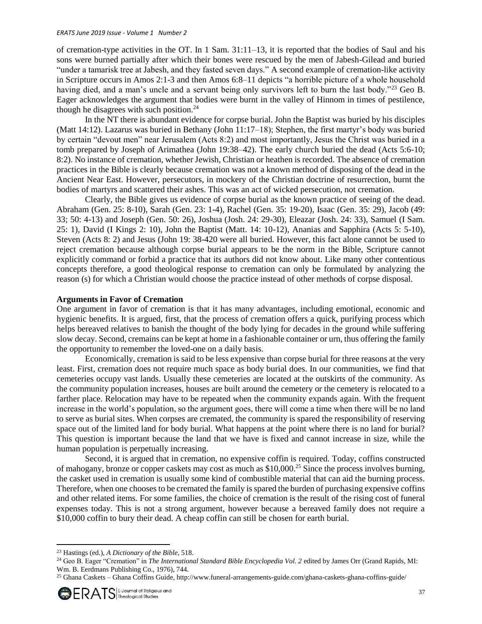of cremation-type activities in the OT. In 1 Sam. 31:11–13, it is reported that the bodies of Saul and his sons were burned partially after which their bones were rescued by the men of Jabesh-Gilead and buried "under a tamarisk tree at Jabesh, and they fasted seven days." A second example of cremation-like activity in Scripture occurs in Amos 2:1-3 and then Amos 6:8–11 depicts "a horrible picture of a whole household having died, and a man's uncle and a servant being only survivors left to burn the last body."<sup>23</sup> Geo B. Eager acknowledges the argument that bodies were burnt in the valley of Hinnom in times of pestilence, though he disagrees with such position. $24$ 

In the NT there is abundant evidence for corpse burial. John the Baptist was buried by his disciples (Matt 14:12). Lazarus was buried in Bethany (John 11:17–18); Stephen, the first martyr's body was buried by certain "devout men" near Jerusalem (Acts 8:2) and most importantly, Jesus the Christ was buried in a tomb prepared by Joseph of Arimathea (John 19:38–42). The early church buried the dead (Acts 5:6-10; 8:2). No instance of cremation, whether Jewish, Christian or heathen is recorded. The absence of cremation practices in the Bible is clearly because cremation was not a known method of disposing of the dead in the Ancient Near East. However, persecutors, in mockery of the Christian doctrine of resurrection, burnt the bodies of martyrs and scattered their ashes. This was an act of wicked persecution, not cremation.

Clearly, the Bible gives us evidence of corpse burial as the known practice of seeing of the dead. Abraham (Gen. 25: 8-10), Sarah (Gen. 23: 1-4), Rachel (Gen. 35: 19-20), Isaac (Gen. 35: 29), Jacob (49: 33; 50: 4-13) and Joseph (Gen. 50: 26), Joshua (Josh. 24: 29-30), Eleazar (Josh. 24: 33), Samuel (I Sam. 25: 1), David (I Kings 2: 10), John the Baptist (Matt. 14: 10-12), Ananias and Sapphira (Acts 5: 5-10), Steven (Acts 8: 2) and Jesus (John 19: 38-420 were all buried. However, this fact alone cannot be used to reject cremation because although corpse burial appears to be the norm in the Bible, Scripture cannot explicitly command or forbid a practice that its authors did not know about. Like many other contentious concepts therefore, a good theological response to cremation can only be formulated by analyzing the reason (s) for which a Christian would choose the practice instead of other methods of corpse disposal.

### **Arguments in Favor of Cremation**

One argument in favor of cremation is that it has many advantages, including emotional, economic and hygienic benefits. It is argued, first, that the process of cremation offers a quick, purifying process which helps bereaved relatives to banish the thought of the body lying for decades in the ground while suffering slow decay. Second, cremains can be kept at home in a fashionable container or urn, thus offering the family the opportunity to remember the loved-one on a daily basis.

Economically, cremation is said to be less expensive than corpse burial for three reasons at the very least. First, cremation does not require much space as body burial does. In our communities, we find that cemeteries occupy vast lands. Usually these cemeteries are located at the outskirts of the community. As the community population increases, houses are built around the cemetery or the cemetery is relocated to a farther place. Relocation may have to be repeated when the community expands again. With the frequent increase in the world's population, so the argument goes, there will come a time when there will be no land to serve as burial sites. When corpses are cremated, the community is spared the responsibility of reserving space out of the limited land for body burial. What happens at the point where there is no land for burial? This question is important because the land that we have is fixed and cannot increase in size, while the human population is perpetually increasing.

Second, it is argued that in cremation, no expensive coffin is required. Today, coffins constructed of mahogany, bronze or copper caskets may cost as much as \$10,000.<sup>25</sup> Since the process involves burning, the casket used in cremation is usually some kind of combustible material that can aid the burning process. Therefore, when one chooses to be cremated the family is spared the burden of purchasing expensive coffins and other related items*.* For some families, the choice of cremation is the result of the rising cost of funeral expenses today. This is not a strong argument, however because a bereaved family does not require a \$10,000 coffin to bury their dead. A cheap coffin can still be chosen for earth burial.

<sup>23</sup> Hastings (ed.), *A Dictionary of the Bible,* 518.

<sup>&</sup>lt;sup>24</sup> Geo B. Eager "Cremation" in *The International Standard Bible Encyclopedia Vol. 2* edited by James Orr (Grand Rapids, MI: Wm. B. Eerdmans Publishing Co., 1976), 744.

<sup>25</sup> Ghana Caskets – Ghana Coffins Guide, http://www.funeral-arrangements-guide.com/ghana-caskets-ghana-coffins-guide/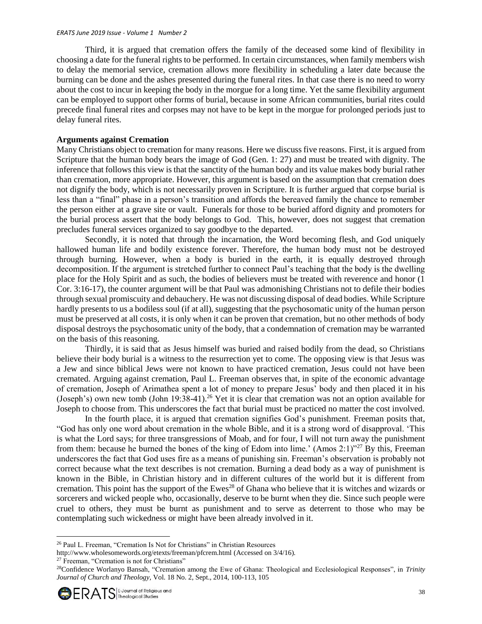Third, it is argued that cremation offers the family of the deceased some kind of flexibility in choosing a date for the funeral rights to be performed. In certain circumstances, when family members wish to delay the memorial service, cremation allows more flexibility in scheduling a later date because the burning can be done and the ashes presented during the funeral rites. In that case there is no need to worry about the cost to incur in keeping the body in the morgue for a long time. Yet the same flexibility argument can be employed to support other forms of burial, because in some African communities, burial rites could precede final funeral rites and corpses may not have to be kept in the morgue for prolonged periods just to delay funeral rites.

### **Arguments against Cremation**

Many Christians object to cremation for many reasons. Here we discuss five reasons. First, it is argued from Scripture that the human body bears the image of God (Gen. 1: 27) and must be treated with dignity. The inference that follows this view is that the sanctity of the human body and its value makes body burial rather than cremation, more appropriate. However, this argument is based on the assumption that cremation does not dignify the body, which is not necessarily proven in Scripture. It is further argued that corpse burial is less than a "final" phase in a person's transition and affords the bereaved family the chance to remember the person either at a grave site or vault. Funerals for those to be buried afford dignity and promoters for the burial process assert that the body belongs to God. This, however, does not suggest that cremation precludes funeral services organized to say goodbye to the departed.

Secondly, it is noted that through the incarnation, the Word becoming flesh, and God uniquely hallowed human life and bodily existence forever. Therefore, the human body must not be destroyed through burning. However, when a body is buried in the earth, it is equally destroyed through decomposition. If the argument is stretched further to connect Paul's teaching that the body is the dwelling place for the Holy Spirit and as such, the bodies of believers must be treated with reverence and honor (1 Cor. 3:16-17), the counter argument will be that Paul was admonishing Christians not to defile their bodies through sexual promiscuity and debauchery. He was not discussing disposal of dead bodies. While Scripture hardly presents to us a bodiless soul (if at all), suggesting that the psychosomatic unity of the human person must be preserved at all costs, it is only when it can be proven that cremation, but no other methods of body disposal destroys the psychosomatic unity of the body, that a condemnation of cremation may be warranted on the basis of this reasoning.

Thirdly, it is said that as Jesus himself was buried and raised bodily from the dead, so Christians believe their body burial is a witness to the resurrection yet to come. The opposing view is that Jesus was a Jew and since biblical Jews were not known to have practiced cremation, Jesus could not have been cremated. Arguing against cremation, Paul L. Freeman observes that, in spite of the economic advantage of cremation, Joseph of Arimathea spent a lot of money to prepare Jesus' body and then placed it in his (Joseph's) own new tomb (John 19:38-41).<sup>26</sup> Yet it is clear that cremation was not an option available for Joseph to choose from. This underscores the fact that burial must be practiced no matter the cost involved.

In the fourth place, it is argued that cremation signifies God's punishment. Freeman posits that, "God has only one word about cremation in the whole Bible, and it is a strong word of disapproval. 'This is what the Lord says; for three transgressions of Moab, and for four, I will not turn away the punishment from them: because he burned the bones of the king of Edom into lime.' (Amos 2:1) $^{1/27}$  By this, Freeman underscores the fact that God uses fire as a means of punishing sin. Freeman's observation is probably not correct because what the text describes is not cremation. Burning a dead body as a way of punishment is known in the Bible, in Christian history and in different cultures of the world but it is different from cremation. This point has the support of the Ewes<sup>28</sup> of Ghana who believe that it is witches and wizards or sorcerers and wicked people who, occasionally, deserve to be burnt when they die. Since such people were cruel to others, they must be burnt as punishment and to serve as deterrent to those who may be contemplating such wickedness or might have been already involved in it.

l

<sup>26</sup> Paul L. Freeman, "Cremation Is Not for Christians" in Christian Resources

<http://www.wholesomewords.org/etexts/freeman/pfcrem.html> (Accessed on 3/4/16).

<sup>&</sup>lt;sup>27</sup> Freeman, "Cremation is not for Christians"

<sup>28</sup>Confidence Worlanyo Bansah, "Cremation among the Ewe of Ghana: Theological and Ecclesiological Responses", in *Trinity Journal of Church and Theology,* Vol. 18 No. 2, Sept., 2014, 100-113, 105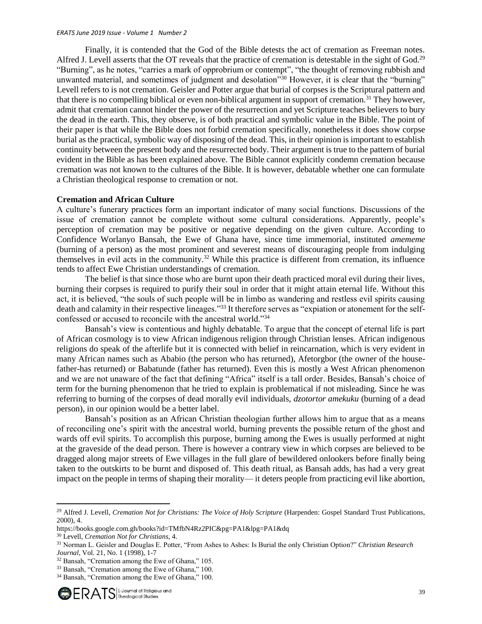Finally, it is contended that the God of the Bible detests the act of cremation as Freeman notes. Alfred J. Levell asserts that the OT reveals that the practice of cremation is detestable in the sight of God.<sup>29</sup> "Burning", as he notes, "carries a mark of opprobrium or contempt", "the thought of removing rubbish and unwanted material, and sometimes of judgment and desolation<sup>330</sup> However, it is clear that the "burning" Levell refers to is not cremation. Geisler and Potter argue that burial of corpses is the Scriptural pattern and that there is no compelling biblical or even non-biblical argument in support of cremation.<sup>31</sup> They however, admit that cremation cannot hinder the power of the resurrection and yet Scripture teaches believers to bury the dead in the earth. This, they observe, is of both practical and symbolic value in the Bible. The point of their paper is that while the Bible does not forbid cremation specifically, nonetheless it does show corpse burial as the practical, symbolic way of disposing of the dead. This, in their opinion is important to establish continuity between the present body and the resurrected body. Their argument is true to the pattern of burial evident in the Bible as has been explained above. The Bible cannot explicitly condemn cremation because cremation was not known to the cultures of the Bible. It is however, debatable whether one can formulate a Christian theological response to cremation or not.

### **Cremation and African Culture**

A culture's funerary practices form an important indicator of many social functions. Discussions of the issue of cremation cannot be complete without some cultural considerations. Apparently, people's perception of cremation may be positive or negative depending on the given culture. According to Confidence Worlanyo Bansah, the Ewe of Ghana have, since time immemorial, instituted *amememe* (burning of a person) as the most prominent and severest means of discouraging people from indulging themselves in evil acts in the community.<sup>32</sup> While this practice is different from cremation, its influence tends to affect Ewe Christian understandings of cremation.

The belief is that since those who are burnt upon their death practiced moral evil during their lives, burning their corpses is required to purify their soul in order that it might attain eternal life. Without this act, it is believed, "the souls of such people will be in limbo as wandering and restless evil spirits causing death and calamity in their respective lineages."<sup>33</sup> It therefore serves as "expiation or atonement for the selfconfessed or accused to reconcile with the ancestral world."<sup>34</sup>

Bansah's view is contentious and highly debatable. To argue that the concept of eternal life is part of African cosmology is to view African indigenous religion through Christian lenses. African indigenous religions do speak of the afterlife but it is connected with belief in reincarnation, which is very evident in many African names such as Ababio (the person who has returned), Afetorgbor (the owner of the housefather-has returned) or Babatunde (father has returned). Even this is mostly a West African phenomenon and we are not unaware of the fact that defining "Africa" itself is a tall order. Besides, Bansah's choice of term for the burning phenomenon that he tried to explain is problematical if not misleading. Since he was referring to burning of the corpses of dead morally evil individuals, *dzotortor amekuku* (burning of a dead person), in our opinion would be a better label.

Bansah's position as an African Christian theologian further allows him to argue that as a means of reconciling one's spirit with the ancestral world, burning prevents the possible return of the ghost and wards off evil spirits. To accomplish this purpose, burning among the Ewes is usually performed at night at the graveside of the dead person. There is however a contrary view in which corpses are believed to be dragged along major streets of Ewe villages in the full glare of bewildered onlookers before finally being taken to the outskirts to be burnt and disposed of. This death ritual, as Bansah adds, has had a very great impact on the people in terms of shaping their morality— it deters people from practicing evil like abortion,

<sup>&</sup>lt;sup>29</sup> Alfred J. Levell, *Cremation Not for Christians: The Voice of Holy Scripture* (Harpenden: Gospel Standard Trust Publications, 2000), 4.

https://books.google.com.gh/books?id=TMfbN4Rz2PIC&pg=PA1&lpg=PA1&dq

<sup>30</sup> Levell, *Cremation Not for Christians,* 4.

<sup>31</sup> Norman L. Geisler and Douglas E. Potter, "From Ashes to Ashes: Is Burial the only Christian Option?" *Christian Research Journal*, Vol. 21, No. 1 (1998), 1-7

<sup>32</sup> Bansah, "Cremation among the Ewe of Ghana," 105.

<sup>33</sup> Bansah, "Cremation among the Ewe of Ghana," 100.

<sup>34</sup> Bansah, "Cremation among the Ewe of Ghana," 100.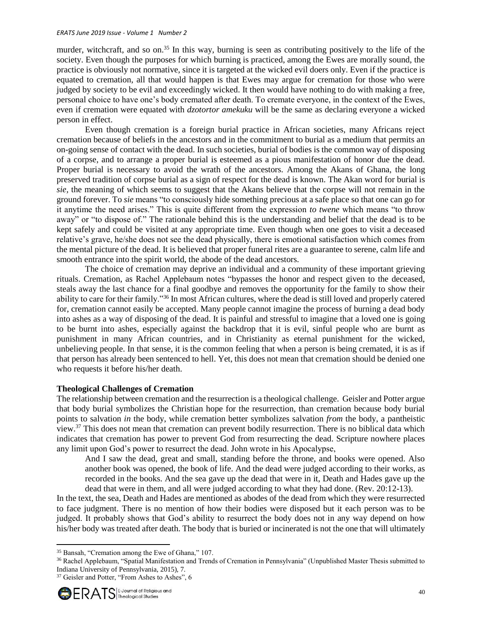murder, witchcraft, and so on.<sup>35</sup> In this way, burning is seen as contributing positively to the life of the society. Even though the purposes for which burning is practiced, among the Ewes are morally sound, the practice is obviously not normative, since it is targeted at the wicked evil doers only. Even if the practice is equated to cremation, all that would happen is that Ewes may argue for cremation for those who were judged by society to be evil and exceedingly wicked. It then would have nothing to do with making a free, personal choice to have one's body cremated after death. To cremate everyone, in the context of the Ewes, even if cremation were equated with *dzotortor amekuku* will be the same as declaring everyone a wicked person in effect.

Even though cremation is a foreign burial practice in African societies, many Africans reject cremation because of beliefs in the ancestors and in the commitment to burial as a medium that permits an on-going sense of contact with the dead. In such societies, burial of bodies is the common way of disposing of a corpse, and to arrange a proper burial is esteemed as a pious manifestation of honor due the dead. Proper burial is necessary to avoid the wrath of the ancestors. Among the Akans of Ghana, the long preserved tradition of corpse burial as a sign of respect for the dead is known. The Akan word for burial is *sie,* the meaning of which seems to suggest that the Akans believe that the corpse will not remain in the ground forever. To *sie* means "to consciously hide something precious at a safe place so that one can go for it anytime the need arises." This is quite different from the expression *to twene* which means "to throw away" or "to dispose of." The rationale behind this is the understanding and belief that the dead is to be kept safely and could be visited at any appropriate time. Even though when one goes to visit a deceased relative's grave, he/she does not see the dead physically, there is emotional satisfaction which comes from the mental picture of the dead. It is believed that proper funeral rites are a guarantee to serene, calm life and smooth entrance into the spirit world, the abode of the dead ancestors.

The choice of cremation may deprive an individual and a community of these important grieving rituals. Cremation, as Rachel Applebaum notes "bypasses the honor and respect given to the deceased, steals away the last chance for a final goodbye and removes the opportunity for the family to show their ability to care for their family."<sup>36</sup> In most African cultures, where the dead is still loved and properly catered for, cremation cannot easily be accepted. Many people cannot imagine the process of burning a dead body into ashes as a way of disposing of the dead. It is painful and stressful to imagine that a loved one is going to be burnt into ashes, especially against the backdrop that it is evil, sinful people who are burnt as punishment in many African countries, and in Christianity as eternal punishment for the wicked, unbelieving people. In that sense, it is the common feeling that when a person is being cremated, it is as if that person has already been sentenced to hell. Yet, this does not mean that cremation should be denied one who requests it before his/her death.

# **Theological Challenges of Cremation**

The relationship between cremation and the resurrection is a theological challenge. Geisler and Potter argue that body burial symbolizes the Christian hope for the resurrection, than cremation because body burial points to salvation *in* the body, while cremation better symbolizes salvation *from* the body, a pantheistic view.<sup>37</sup> This does not mean that cremation can prevent bodily resurrection. There is no biblical data which indicates that cremation has power to prevent God from resurrecting the dead. Scripture nowhere places any limit upon God's power to resurrect the dead. John wrote in his Apocalypse,

And I saw the dead, great and small, standing before the throne, and books were opened. Also another book was opened, the book of life. And the dead were judged according to their works, as recorded in the books. And the sea gave up the dead that were in it, Death and Hades gave up the dead that were in them, and all were judged according to what they had done. (Rev. 20:12-13).

In the text, the sea, Death and Hades are mentioned as abodes of the dead from which they were resurrected to face judgment. There is no mention of how their bodies were disposed but it each person was to be judged. It probably shows that God's ability to resurrect the body does not in any way depend on how his/her body was treated after death. The body that is buried or incinerated is not the one that will ultimately

<sup>&</sup>lt;sup>37</sup> Geisler and Potter, "From Ashes to Ashes", 6



<sup>35</sup> Bansah, "Cremation among the Ewe of Ghana," 107.

<sup>36</sup> Rachel Applebaum, "Spatial Manifestation and Trends of Cremation in Pennsylvania" (Unpublished Master Thesis submitted to Indiana University of Pennsylvania, 2015), 7.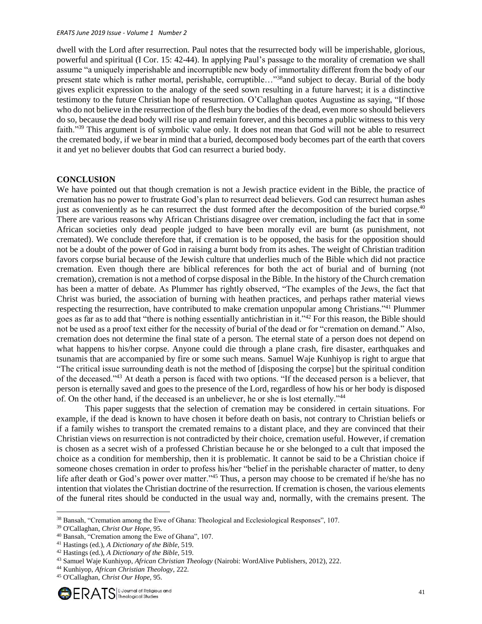dwell with the Lord after resurrection. Paul notes that the resurrected body will be imperishable, glorious, powerful and spiritual (I Cor. 15: [42-44\)](http://ebible.com/query?utf=8%E2%9C%93&query=1%20Corinthians%2015%3A42-44&translation=ESV&redirect_iframe=http://www.AllAboutGOD.com/bible.htm). In applying Paul's passage to the morality of cremation we shall assume "a uniquely imperishable and incorruptible new body of immortality different from the body of our present state which is rather mortal, perishable, corruptible..."<sup>38</sup>and subject to decay. Burial of the body gives explicit expression to the analogy of the seed sown resulting in a future harvest; it is a distinctive testimony to the future Christian hope of resurrection. O'Callaghan quotes Augustine as saying, "If those who do not believe in the resurrection of the flesh bury the bodies of the dead, even more so should believers do so, because the dead body will rise up and remain forever, and this becomes a public witness to this very faith."<sup>39</sup> This argument is of symbolic value only. It does not mean that God will not be able to resurrect the cremated body, if we bear in mind that a buried, decomposed body becomes part of the earth that covers it and yet no believer doubts that God can resurrect a buried body.

## **CONCLUSION**

We have pointed out that though cremation is not a Jewish practice evident in the Bible, the practice of cremation has no power to frustrate God's plan to resurrect dead believers. God can resurrect human ashes just as conveniently as he can resurrect the dust formed after the decomposition of the buried corpse.<sup>40</sup> There are various reasons why African Christians disagree over cremation, including the fact that in some African societies only dead people judged to have been morally evil are burnt (as punishment, not cremated). We conclude therefore that, if cremation is to be opposed, the basis for the opposition should not be a doubt of the power of God in raising a burnt body from its ashes. The weight of Christian tradition favors corpse burial because of the Jewish culture that underlies much of the Bible which did not practice cremation. Even though there are biblical references for both the act of burial and of burning (not cremation), cremation is not a method of corpse disposal in the Bible. In the history of the Church cremation has been a matter of debate. As Plummer has rightly observed, "The examples of the Jews, the fact that Christ was buried, the association of burning with heathen practices, and perhaps rather material views respecting the resurrection, have contributed to make cremation unpopular among Christians."<sup>41</sup> Plummer goes as far as to add that "there is nothing essentially antichristian in it."<sup>42</sup> For this reason, the Bible should not be used as a proof text either for the necessity of burial of the dead or for "cremation on demand." Also, cremation does not determine the final state of a person. The eternal state of a person does not depend on what happens to his/her corpse. Anyone could die through a plane crash, fire disaster, earthquakes and tsunamis that are accompanied by fire or some such means. Samuel Waje Kunhiyop is right to argue that "The critical issue surrounding death is not the method of [disposing the corpse] but the spiritual condition of the deceased."<sup>43</sup> At death a person is faced with two options. "If the deceased person is a believer, that person is eternally saved and goes to the presence of the Lord, regardless of how his or her body is disposed of. On the other hand, if the deceased is an unbeliever, he or she is lost eternally."<sup>44</sup>

This paper suggests that the selection of cremation may be considered in certain situations. For example, if the dead is known to have chosen it before death on basis, not contrary to Christian beliefs or if a family wishes to transport the cremated remains to a distant place, and they are convinced that their Christian views on resurrection is not contradicted by their choice, cremation useful. However, if cremation is chosen as a secret wish of a professed Christian because he or she belonged to a cult that imposed the choice as a condition for membership, then it is problematic. It cannot be said to be a Christian choice if someone choses cremation in order to profess his/her "belief in the perishable character of matter, to deny life after death or God's power over matter."<sup>45</sup> Thus, a person may choose to be cremated if he/she has no intention that violates the Christian doctrine of the resurrection. If cremation is chosen, the various elements of the funeral rites should be conducted in the usual way and, normally, with the cremains present. The

<sup>&</sup>lt;sup>38</sup> Bansah, "Cremation among the Ewe of Ghana: Theological and Ecclesiological Responses", 107.

<sup>39</sup> O'Callaghan, *Christ Our Hope,* 95.

<sup>40</sup> Bansah, "Cremation among the Ewe of Ghana", 107.

<sup>41</sup> Hastings (ed.), *A Dictionary of the Bible,* 519.

<sup>42</sup> Hastings (ed.), *A Dictionary of the Bible,* 519.

<sup>43</sup> Samuel Waje Kunhiyop, *African Christian Theology* (Nairobi: WordAlive Publishers, 2012), 222.

<sup>44</sup> Kunhiyop, *African Christian Theology*, 222.

<sup>45</sup> O'Callaghan, *Christ Our Hope,* 95.